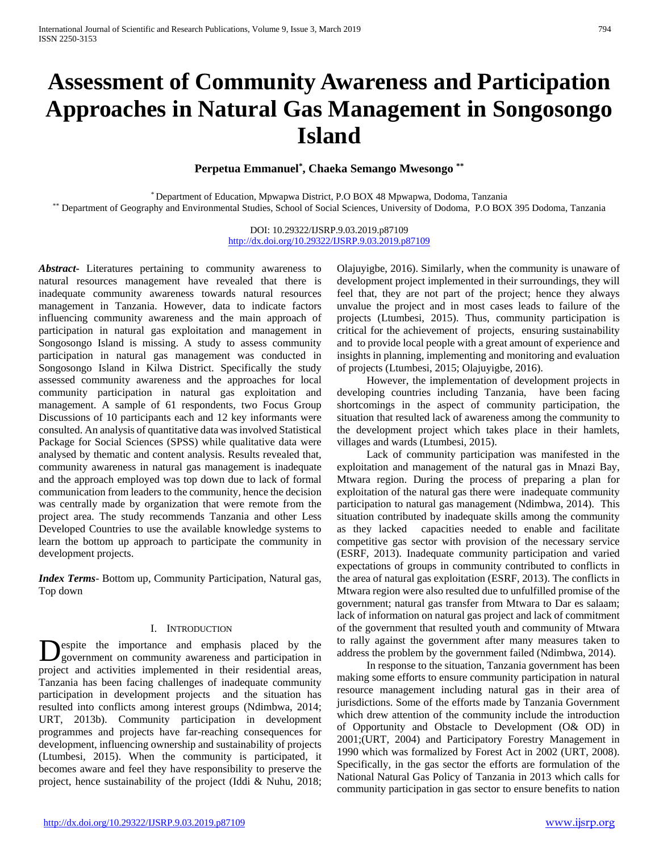# **Assessment of Community Awareness and Participation Approaches in Natural Gas Management in Songosongo Island**

**Perpetua Emmanuel\* , Chaeka Semango Mwesongo \*\***

\* Department of Education, Mpwapwa District, P.O BOX 48 Mpwapwa, Dodoma, Tanzania \*\* Department of Geography and Environmental Studies, School of Social Sciences, University of Dodoma, P.O BOX 395 Dodoma, Tanzania

> DOI: 10.29322/IJSRP.9.03.2019.p87109 <http://dx.doi.org/10.29322/IJSRP.9.03.2019.p87109>

*Abstract***-** Literatures pertaining to community awareness to natural resources management have revealed that there is inadequate community awareness towards natural resources management in Tanzania. However, data to indicate factors influencing community awareness and the main approach of participation in natural gas exploitation and management in Songosongo Island is missing. A study to assess community participation in natural gas management was conducted in Songosongo Island in Kilwa District. Specifically the study assessed community awareness and the approaches for local community participation in natural gas exploitation and management. A sample of 61 respondents, two Focus Group Discussions of 10 participants each and 12 key informants were consulted. An analysis of quantitative data was involved Statistical Package for Social Sciences (SPSS) while qualitative data were analysed by thematic and content analysis. Results revealed that, community awareness in natural gas management is inadequate and the approach employed was top down due to lack of formal communication from leaders to the community, hence the decision was centrally made by organization that were remote from the project area. The study recommends Tanzania and other Less Developed Countries to use the available knowledge systems to learn the bottom up approach to participate the community in development projects.

*Index Terms*- Bottom up, Community Participation, Natural gas, Top down

# I. INTRODUCTION

espite the importance and emphasis placed by the Despite the importance and emphasis placed by the government on community awareness and participation in project and activities implemented in their residential areas, Tanzania has been facing challenges of inadequate community participation in development projects and the situation has resulted into conflicts among interest groups (Ndimbwa, 2014; URT, 2013b). Community participation in development programmes and projects have far-reaching consequences for development, influencing ownership and sustainability of projects (Ltumbesi, 2015). When the community is participated, it becomes aware and feel they have responsibility to preserve the project, hence sustainability of the project (Iddi & Nuhu, 2018;

Olajuyigbe, 2016). Similarly, when the community is unaware of development project implemented in their surroundings, they will feel that, they are not part of the project; hence they always unvalue the project and in most cases leads to failure of the projects (Ltumbesi, 2015). Thus, community participation is critical for the achievement of projects, ensuring sustainability and to provide local people with a great amount of experience and insights in planning, implementing and monitoring and evaluation of projects (Ltumbesi, 2015; Olajuyigbe, 2016).

 However, the implementation of development projects in developing countries including Tanzania, have been facing shortcomings in the aspect of community participation, the situation that resulted lack of awareness among the community to the development project which takes place in their hamlets, villages and wards (Ltumbesi, 2015).

 Lack of community participation was manifested in the exploitation and management of the natural gas in Mnazi Bay, Mtwara region. During the process of preparing a plan for exploitation of the natural gas there were inadequate community participation to natural gas management (Ndimbwa, 2014). This situation contributed by inadequate skills among the community as they lacked capacities needed to enable and facilitate competitive gas sector with provision of the necessary service (ESRF, 2013). Inadequate community participation and varied expectations of groups in community contributed to conflicts in the area of natural gas exploitation (ESRF, 2013). The conflicts in Mtwara region were also resulted due to unfulfilled promise of the government; natural gas transfer from Mtwara to Dar es salaam; lack of information on natural gas project and lack of commitment of the government that resulted youth and community of Mtwara to rally against the government after many measures taken to address the problem by the government failed (Ndimbwa, 2014).

 In response to the situation, Tanzania government has been making some efforts to ensure community participation in natural resource management including natural gas in their area of jurisdictions. Some of the efforts made by Tanzania Government which drew attention of the community include the introduction of Opportunity and Obstacle to Development (O& OD) in 2001;(URT, 2004) and Participatory Forestry Management in 1990 which was formalized by Forest Act in 2002 (URT, 2008). Specifically, in the gas sector the efforts are formulation of the National Natural Gas Policy of Tanzania in 2013 which calls for community participation in gas sector to ensure benefits to nation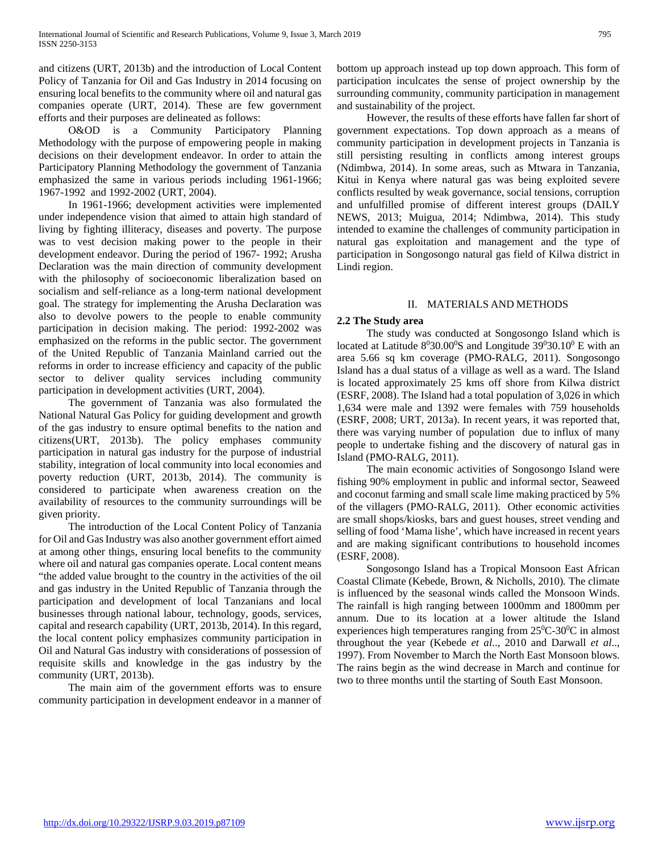and citizens (URT, 2013b) and the introduction of Local Content Policy of Tanzania for Oil and Gas Industry in 2014 focusing on ensuring local benefits to the community where oil and natural gas companies operate (URT, 2014). These are few government efforts and their purposes are delineated as follows:

 O&OD is a Community Participatory Planning Methodology with the purpose of empowering people in making decisions on their development endeavor. In order to attain the Participatory Planning Methodology the government of Tanzania emphasized the same in various periods including 1961-1966; 1967-1992 and 1992-2002 (URT, 2004).

 In 1961-1966; development activities were implemented under independence vision that aimed to attain high standard of living by fighting illiteracy, diseases and poverty. The purpose was to vest decision making power to the people in their development endeavor. During the period of 1967- 1992; Arusha Declaration was the main direction of community development with the philosophy of socioeconomic liberalization based on socialism and self-reliance as a long-term national development goal. The strategy for implementing the Arusha Declaration was also to devolve powers to the people to enable community participation in decision making. The period: 1992-2002 was emphasized on the reforms in the public sector. The government of the United Republic of Tanzania Mainland carried out the reforms in order to increase efficiency and capacity of the public sector to deliver quality services including community participation in development activities (URT, 2004).

 The government of Tanzania was also formulated the National Natural Gas Policy for guiding development and growth of the gas industry to ensure optimal benefits to the nation and citizens(URT, 2013b). The policy emphases community participation in natural gas industry for the purpose of industrial stability, integration of local community into local economies and poverty reduction (URT, 2013b, 2014). The community is considered to participate when awareness creation on the availability of resources to the community surroundings will be given priority.

 The introduction of the Local Content Policy of Tanzania for Oil and Gas Industry was also another government effort aimed at among other things, ensuring local benefits to the community where oil and natural gas companies operate. Local content means "the added value brought to the country in the activities of the oil and gas industry in the United Republic of Tanzania through the participation and development of local Tanzanians and local businesses through national labour, technology, goods, services, capital and research capability (URT, 2013b, 2014). In this regard, the local content policy emphasizes community participation in Oil and Natural Gas industry with considerations of possession of requisite skills and knowledge in the gas industry by the community (URT, 2013b).

 The main aim of the government efforts was to ensure community participation in development endeavor in a manner of bottom up approach instead up top down approach. This form of participation inculcates the sense of project ownership by the surrounding community, community participation in management and sustainability of the project.

 However, the results of these efforts have fallen far short of government expectations. Top down approach as a means of community participation in development projects in Tanzania is still persisting resulting in conflicts among interest groups (Ndimbwa, 2014). In some areas, such as Mtwara in Tanzania, Kitui in Kenya where natural gas was being exploited severe conflicts resulted by weak governance, social tensions, corruption and unfulfilled promise of different interest groups (DAILY NEWS, 2013; Muigua, 2014; Ndimbwa, 2014). This study intended to examine the challenges of community participation in natural gas exploitation and management and the type of participation in Songosongo natural gas field of Kilwa district in Lindi region.

# II. MATERIALS AND METHODS

# **2.2 The Study area**

 The study was conducted at Songosongo Island which is located at Latitude  $8^030.00^\circ$ S and Longitude 39 $^030.10^\circ$  E with an area 5.66 sq km coverage (PMO-RALG, 2011). Songosongo Island has a dual status of a village as well as a ward. The Island is located approximately 25 kms off shore from Kilwa district (ESRF, 2008). The Island had a total population of 3,026 in which 1,634 were male and 1392 were females with 759 households (ESRF, 2008; URT, 2013a). In recent years, it was reported that, there was varying number of population due to influx of many people to undertake fishing and the discovery of natural gas in Island (PMO-RALG, 2011).

 The main economic activities of Songosongo Island were fishing 90% employment in public and informal sector, Seaweed and coconut farming and small scale lime making practiced by 5% of the villagers (PMO-RALG, 2011). Other economic activities are small shops/kiosks, bars and guest houses, street vending and selling of food 'Mama lishe', which have increased in recent years and are making significant contributions to household incomes (ESRF, 2008).

 Songosongo Island has a Tropical Monsoon East African Coastal Climate (Kebede, Brown, & Nicholls, 2010)*.* The climate is influenced by the seasonal winds called the Monsoon Winds. The rainfall is high ranging between 1000mm and 1800mm per annum. Due to its location at a lower altitude the Island experiences high temperatures ranging from  $25^{\circ}$ C-30 $^{\circ}$ C in almost throughout the year (Kebede *et al*.., 2010 and Darwall *et al*.., 1997). From November to March the North East Monsoon blows. The rains begin as the wind decrease in March and continue for two to three months until the starting of South East Monsoon.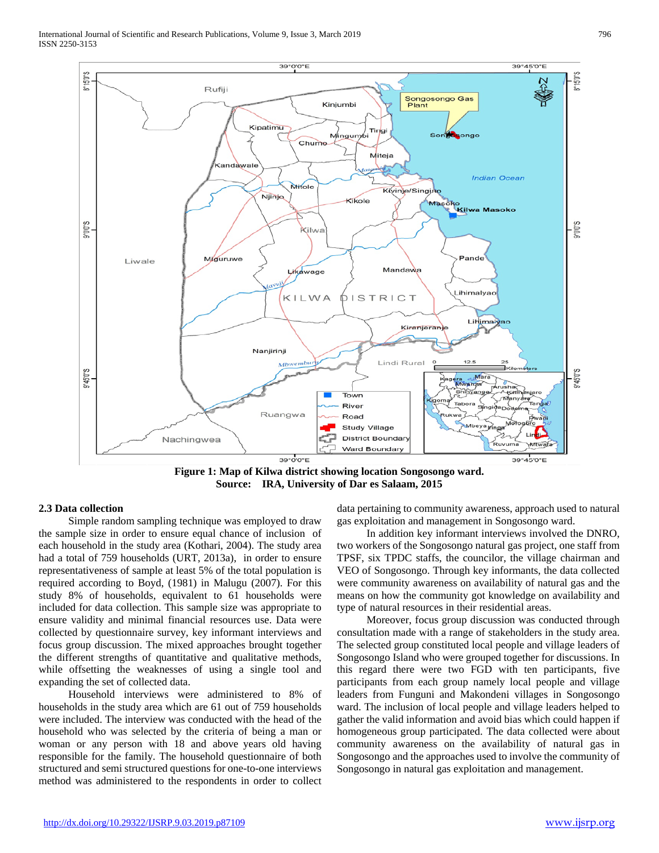International Journal of Scientific and Research Publications, Volume 9, Issue 3, March 2019 796 ISSN 2250-3153



**Figure 1: Map of Kilwa district showing location Songosongo ward. Source: IRA, University of Dar es Salaam, 2015**

## **2.3 Data collection**

 Simple random sampling technique was employed to draw the sample size in order to ensure equal chance of inclusion of each household in the study area (Kothari, 2004). The study area had a total of 759 households (URT, 2013a), in order to ensure representativeness of sample at least 5% of the total population is required according to Boyd, (1981) in Malugu (2007). For this study 8% of households, equivalent to 61 households were included for data collection. This sample size was appropriate to ensure validity and minimal financial resources use. Data were collected by questionnaire survey, key informant interviews and focus group discussion. The mixed approaches brought together the different strengths of quantitative and qualitative methods, while offsetting the weaknesses of using a single tool and expanding the set of collected data.

 Household interviews were administered to 8% of households in the study area which are 61 out of 759 households were included. The interview was conducted with the head of the household who was selected by the criteria of being a man or woman or any person with 18 and above years old having responsible for the family. The household questionnaire of both structured and semi structured questions for one-to-one interviews method was administered to the respondents in order to collect

data pertaining to community awareness, approach used to natural gas exploitation and management in Songosongo ward.

 In addition key informant interviews involved the DNRO, two workers of the Songosongo natural gas project, one staff from TPSF, six TPDC staffs, the councilor, the village chairman and VEO of Songosongo. Through key informants, the data collected were community awareness on availability of natural gas and the means on how the community got knowledge on availability and type of natural resources in their residential areas.

 Moreover, focus group discussion was conducted through consultation made with a range of stakeholders in the study area. The selected group constituted local people and village leaders of Songosongo Island who were grouped together for discussions. In this regard there were two FGD with ten participants, five participants from each group namely local people and village leaders from Funguni and Makondeni villages in Songosongo ward. The inclusion of local people and village leaders helped to gather the valid information and avoid bias which could happen if homogeneous group participated. The data collected were about community awareness on the availability of natural gas in Songosongo and the approaches used to involve the community of Songosongo in natural gas exploitation and management.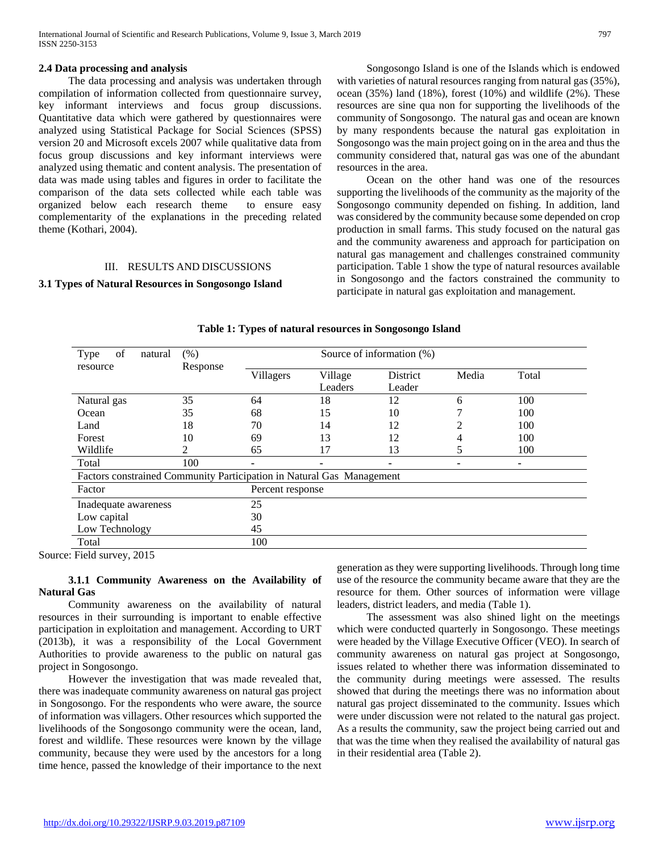### **2.4 Data processing and analysis**

 The data processing and analysis was undertaken through compilation of information collected from questionnaire survey, key informant interviews and focus group discussions. Quantitative data which were gathered by questionnaires were analyzed using Statistical Package for Social Sciences (SPSS) version 20 and Microsoft excels 2007 while qualitative data from focus group discussions and key informant interviews were analyzed using thematic and content analysis. The presentation of data was made using tables and figures in order to facilitate the comparison of the data sets collected while each table was organized below each research theme to ensure easy complementarity of the explanations in the preceding related theme (Kothari, 2004).

### III. RESULTS AND DISCUSSIONS

#### **3.1 Types of Natural Resources in Songosongo Island**

 Songosongo Island is one of the Islands which is endowed with varieties of natural resources ranging from natural gas (35%), ocean (35%) land (18%), forest (10%) and wildlife (2%). These resources are sine qua non for supporting the livelihoods of the community of Songosongo. The natural gas and ocean are known by many respondents because the natural gas exploitation in Songosongo was the main project going on in the area and thus the community considered that, natural gas was one of the abundant resources in the area.

 Ocean on the other hand was one of the resources supporting the livelihoods of the community as the majority of the Songosongo community depended on fishing. In addition, land was considered by the community because some depended on crop production in small farms. This study focused on the natural gas and the community awareness and approach for participation on natural gas management and challenges constrained community participation. Table 1 show the type of natural resources available in Songosongo and the factors constrained the community to participate in natural gas exploitation and management.

| Type<br>of<br>natural                                                 | (% )     | Source of information (%) |                    |                    |       |       |  |
|-----------------------------------------------------------------------|----------|---------------------------|--------------------|--------------------|-------|-------|--|
| resource                                                              | Response | Villagers                 | Village<br>Leaders | District<br>Leader | Media | Total |  |
| Natural gas                                                           | 35       | 64                        | 18                 | 12                 | 6     | 100   |  |
| Ocean                                                                 | 35       | 68                        | 15                 | 10                 |       | 100   |  |
| Land                                                                  | 18       | 70                        | 14                 | 12                 |       | 100   |  |
| Forest                                                                | 10       | 69                        | 13                 | 12                 | 4     | 100   |  |
| Wildlife                                                              | 2        | 65                        | 17                 | 13                 |       | 100   |  |
| Total                                                                 | 100      |                           | ٠                  |                    |       |       |  |
| Factors constrained Community Participation in Natural Gas Management |          |                           |                    |                    |       |       |  |
| Factor                                                                |          | Percent response          |                    |                    |       |       |  |
| Inadequate awareness                                                  |          | 25                        |                    |                    |       |       |  |
| Low capital                                                           |          | 30                        |                    |                    |       |       |  |
| Low Technology                                                        |          | 45                        |                    |                    |       |       |  |
| Total                                                                 |          | 100                       |                    |                    |       |       |  |

### **Table 1: Types of natural resources in Songosongo Island**

Source: Field survey, 2015

# **3.1.1 Community Awareness on the Availability of Natural Gas**

 Community awareness on the availability of natural resources in their surrounding is important to enable effective participation in exploitation and management. According to URT (2013b), it was a responsibility of the Local Government Authorities to provide awareness to the public on natural gas project in Songosongo.

 However the investigation that was made revealed that, there was inadequate community awareness on natural gas project in Songosongo. For the respondents who were aware, the source of information was villagers. Other resources which supported the livelihoods of the Songosongo community were the ocean, land, forest and wildlife. These resources were known by the village community, because they were used by the ancestors for a long time hence, passed the knowledge of their importance to the next generation as they were supporting livelihoods. Through long time use of the resource the community became aware that they are the resource for them. Other sources of information were village leaders, district leaders, and media (Table 1).

 The assessment was also shined light on the meetings which were conducted quarterly in Songosongo. These meetings were headed by the Village Executive Officer (VEO). In search of community awareness on natural gas project at Songosongo, issues related to whether there was information disseminated to the community during meetings were assessed. The results showed that during the meetings there was no information about natural gas project disseminated to the community. Issues which were under discussion were not related to the natural gas project. As a results the community, saw the project being carried out and that was the time when they realised the availability of natural gas in their residential area (Table 2).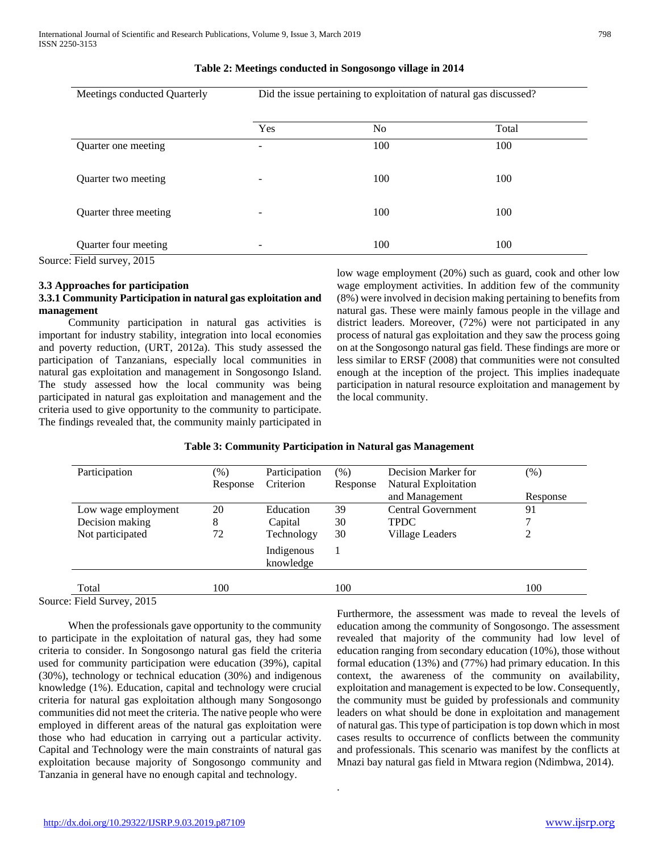| Meetings conducted Quarterly | Did the issue pertaining to exploitation of natural gas discussed? |     |       |  |  |  |
|------------------------------|--------------------------------------------------------------------|-----|-------|--|--|--|
|                              | Yes                                                                | No. | Total |  |  |  |
| Quarter one meeting          |                                                                    | 100 | 100   |  |  |  |
| Quarter two meeting          | ۰                                                                  | 100 | 100   |  |  |  |
| Quarter three meeting        | -                                                                  | 100 | 100   |  |  |  |
| Quarter four meeting         |                                                                    | 100 | 100   |  |  |  |

#### **Table 2: Meetings conducted in Songosongo village in 2014**

Source: Field survey, 2015

### **3.3 Approaches for participation**

# **3.3.1 Community Participation in natural gas exploitation and management**

 Community participation in natural gas activities is important for industry stability, integration into local economies and poverty reduction, (URT, 2012a). This study assessed the participation of Tanzanians, especially local communities in natural gas exploitation and management in Songosongo Island. The study assessed how the local community was being participated in natural gas exploitation and management and the criteria used to give opportunity to the community to participate. The findings revealed that, the community mainly participated in low wage employment (20%) such as guard, cook and other low wage employment activities. In addition few of the community (8%) were involved in decision making pertaining to benefits from natural gas. These were mainly famous people in the village and district leaders. Moreover, (72%) were not participated in any process of natural gas exploitation and they saw the process going on at the Songosongo natural gas field. These findings are more or less similar to ERSF (2008) that communities were not consulted enough at the inception of the project. This implies inadequate participation in natural resource exploitation and management by the local community.

| Participation       | $(\% )$  | Participation           | $(\%)$   | Decision Marker for    | (%)      |
|---------------------|----------|-------------------------|----------|------------------------|----------|
|                     | Response | Criterion               | Response | Natural Exploitation   |          |
|                     |          |                         |          | and Management         | Response |
| Low wage employment | 20       | Education               | 39       | Central Government     | 91       |
| Decision making     | 8        | Capital                 | 30       | <b>TPDC</b>            |          |
| Not participated    | 72       | Technology              | 30       | <b>Village Leaders</b> | 2        |
|                     |          | Indigenous<br>knowledge |          |                        |          |
| Total               | 100      |                         | 100      |                        | 100      |

.

# **Table 3: Community Participation in Natural gas Management**

Source: Field Survey, 2015

 When the professionals gave opportunity to the community to participate in the exploitation of natural gas, they had some criteria to consider. In Songosongo natural gas field the criteria used for community participation were education (39%), capital (30%), technology or technical education (30%) and indigenous knowledge (1%). Education, capital and technology were crucial criteria for natural gas exploitation although many Songosongo communities did not meet the criteria. The native people who were employed in different areas of the natural gas exploitation were those who had education in carrying out a particular activity. Capital and Technology were the main constraints of natural gas exploitation because majority of Songosongo community and Tanzania in general have no enough capital and technology.

Furthermore, the assessment was made to reveal the levels of education among the community of Songosongo. The assessment revealed that majority of the community had low level of education ranging from secondary education (10%), those without formal education (13%) and (77%) had primary education. In this context, the awareness of the community on availability, exploitation and management is expected to be low. Consequently, the community must be guided by professionals and community leaders on what should be done in exploitation and management of natural gas. This type of participation is top down which in most cases results to occurrence of conflicts between the community and professionals. This scenario was manifest by the conflicts at Mnazi bay natural gas field in Mtwara region (Ndimbwa, 2014).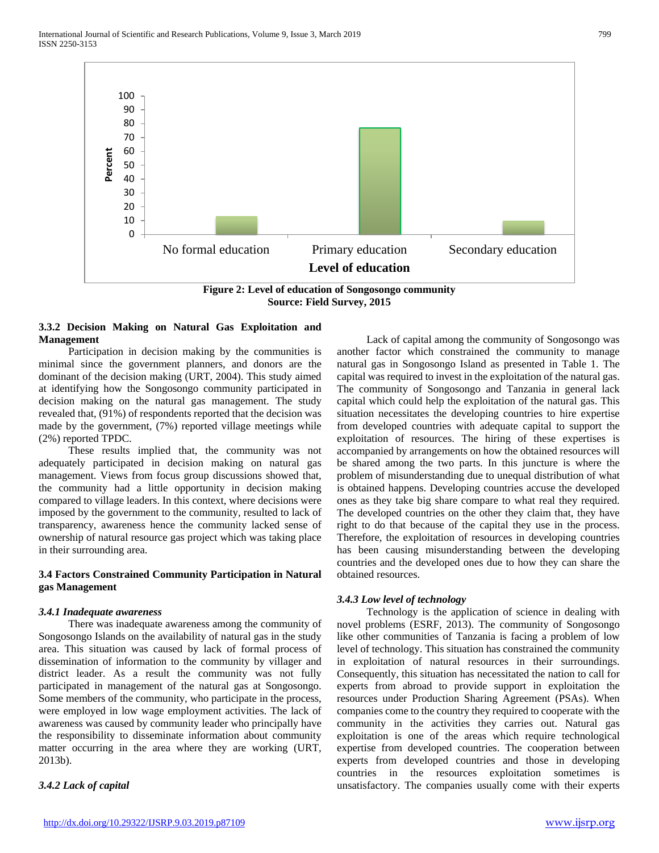International Journal of Scientific and Research Publications, Volume 9, Issue 3, March 2019 799 ISSN 2250-3153



**Source: Field Survey, 2015**

# **3.3.2 Decision Making on Natural Gas Exploitation and Management**

 Participation in decision making by the communities is minimal since the government planners, and donors are the dominant of the decision making (URT, 2004). This study aimed at identifying how the Songosongo community participated in decision making on the natural gas management. The study revealed that, (91%) of respondents reported that the decision was made by the government, (7%) reported village meetings while (2%) reported TPDC.

 These results implied that, the community was not adequately participated in decision making on natural gas management. Views from focus group discussions showed that, the community had a little opportunity in decision making compared to village leaders. In this context, where decisions were imposed by the government to the community, resulted to lack of transparency, awareness hence the community lacked sense of ownership of natural resource gas project which was taking place in their surrounding area.

# **3.4 Factors Constrained Community Participation in Natural gas Management**

#### *3.4.1 Inadequate awareness*

 There was inadequate awareness among the community of Songosongo Islands on the availability of natural gas in the study area. This situation was caused by lack of formal process of dissemination of information to the community by villager and district leader. As a result the community was not fully participated in management of the natural gas at Songosongo. Some members of the community, who participate in the process, were employed in low wage employment activities. The lack of awareness was caused by community leader who principally have the responsibility to disseminate information about community matter occurring in the area where they are working (URT, 2013b).

# *3.4.2 Lack of capital*

 Lack of capital among the community of Songosongo was another factor which constrained the community to manage natural gas in Songosongo Island as presented in Table 1. The capital was required to invest in the exploitation of the natural gas. The community of Songosongo and Tanzania in general lack capital which could help the exploitation of the natural gas. This situation necessitates the developing countries to hire expertise from developed countries with adequate capital to support the exploitation of resources. The hiring of these expertises is accompanied by arrangements on how the obtained resources will be shared among the two parts. In this juncture is where the problem of misunderstanding due to unequal distribution of what is obtained happens. Developing countries accuse the developed ones as they take big share compare to what real they required. The developed countries on the other they claim that, they have right to do that because of the capital they use in the process. Therefore, the exploitation of resources in developing countries has been causing misunderstanding between the developing countries and the developed ones due to how they can share the obtained resources.

#### *3.4.3 Low level of technology*

 Technology is the application of science in dealing with novel problems (ESRF, 2013). The community of Songosongo like other communities of Tanzania is facing a problem of low level of technology. This situation has constrained the community in exploitation of natural resources in their surroundings. Consequently, this situation has necessitated the nation to call for experts from abroad to provide support in exploitation the resources under Production Sharing Agreement (PSAs). When companies come to the country they required to cooperate with the community in the activities they carries out. Natural gas exploitation is one of the areas which require technological expertise from developed countries. The cooperation between experts from developed countries and those in developing countries in the resources exploitation sometimes is unsatisfactory. The companies usually come with their experts